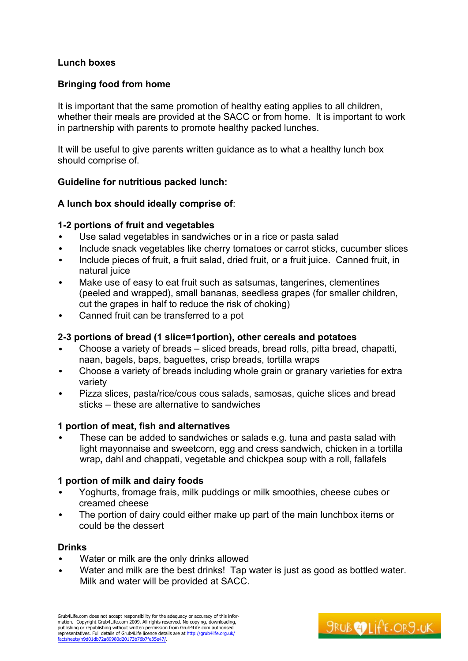## **Lunch boxes**

## **Bringing food from home**

It is important that the same promotion of healthy eating applies to all children, whether their meals are provided at the SACC or from home. It is important to work in partnership with parents to promote healthy packed lunches.

It will be useful to give parents written guidance as to what a healthy lunch box should comprise of.

### **Guideline for nutritious packed lunch:**

### **A lunch box should ideally comprise of**:

### **1-2 portions of fruit and vegetables**

- Use salad vegetables in sandwiches or in a rice or pasta salad
- Include snack vegetables like cherry tomatoes or carrot sticks, cucumber slices
- Include pieces of fruit, a fruit salad, dried fruit, or a fruit juice. Canned fruit, in natural juice
- Make use of easy to eat fruit such as satsumas, tangerines, clementines (peeled and wrapped), small bananas, seedless grapes (for smaller children, cut the grapes in half to reduce the risk of choking)
- Canned fruit can be transferred to a pot

# **2-3 portions of bread (1 slice=1portion), other cereals and potatoes**

- Choose a variety of breads sliced breads, bread rolls, pitta bread, chapatti, naan, bagels, baps, baguettes, crisp breads, tortilla wraps
- Choose a variety of breads including whole grain or granary varieties for extra variety
- Pizza slices, pasta/rice/cous cous salads, samosas, quiche slices and bread sticks – these are alternative to sandwiches

### **1 portion of meat, fish and alternatives**

• These can be added to sandwiches or salads e.g. tuna and pasta salad with light mayonnaise and sweetcorn, egg and cress sandwich, chicken in a tortilla wrap**,** dahl and chappati, vegetable and chickpea soup with a roll, fallafels

### **1 portion of milk and dairy foods**

- Yoghurts, fromage frais, milk puddings or milk smoothies, cheese cubes or creamed cheese
- The portion of dairy could either make up part of the main lunchbox items or could be the dessert

### **Drinks**

- Water or milk are the only drinks allowed
- Water and milk are the best drinks! Tap water is just as good as bottled water. Milk and water will be provided at SACC.